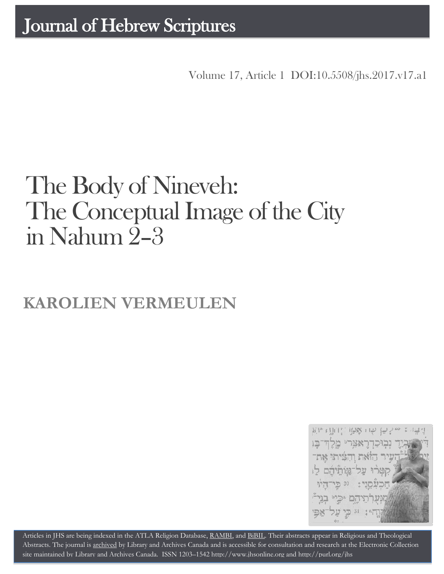Volume 17, Article 1 DOI:10.5508/jhs.2017.v17.a1

# The Body of Nineveh: The Conceptual Image of the City in Nahum 2–3

## **KAROLIEN VERMEULEN**



Articles in JHS are being indexed in the ATLA Religion Database, [RAMBI,](http://jnul.huji.ac.il/rambi/) an[d BiBIL.](http://bibil.net/) Their abstracts appear in Religious and Theological Abstracts. The journal is [archived](http://epe.lac-bac.gc.ca/100/201/300/journal_hebrew/index.html) by Library and Archives Canada and is accessible for consultation and research at the Electronic Collection site maintained b[y Library and Archives Canada.](http://collectionscanada.ca/electroniccollection/003008-200-e.html) ISSN 1203–154[2 http://www.jhsonline.org](http://www.jhsonline.org/) and<http://purl.org/jhs>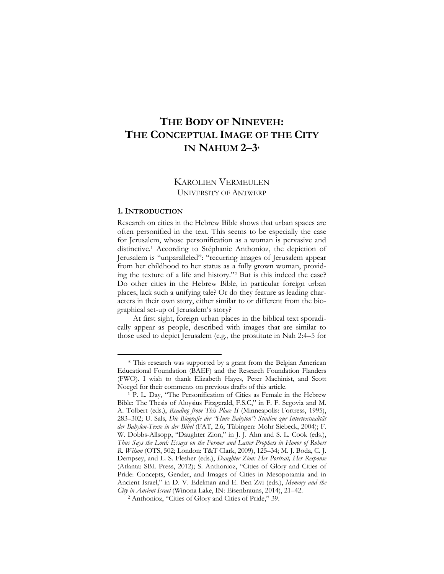### **THE BODY OF NINEVEH: THE CONCEPTUAL IMAGE OF THE CITY IN NAHUM 2–3\***

#### KAROLIEN VERMEULEN UNIVERSITY OF ANTWERP

#### **1. INTRODUCTION**

 $\overline{a}$ 

Research on cities in the Hebrew Bible shows that urban spaces are often personified in the text. This seems to be especially the case for Jerusalem, whose personification as a woman is pervasive and distinctive.<sup>1</sup> According to Stéphanie Anthonioz, the depiction of Jerusalem is "unparalleled": "recurring images of Jerusalem appear from her childhood to her status as a fully grown woman, providing the texture of a life and history."<sup>2</sup> But is this indeed the case? Do other cities in the Hebrew Bible, in particular foreign urban places, lack such a unifying tale? Or do they feature as leading characters in their own story, either similar to or different from the biographical set-up of Jerusalem's story?

At first sight, foreign urban places in the biblical text sporadically appear as people, described with images that are similar to those used to depict Jerusalem (e.g., the prostitute in Nah 2:4–5 for

<sup>\*</sup> This research was supported by a grant from the Belgian American Educational Foundation (BAEF) and the Research Foundation Flanders (FWO). I wish to thank Elizabeth Hayes, Peter Machinist, and Scott Noegel for their comments on previous drafts of this article.

<sup>1</sup> P. L. Day, "The Personification of Cities as Female in the Hebrew Bible: The Thesis of Aloysius Fitzgerald, F.S.C," in F. F. Segovia and M. A. Tolbert (eds.), *Reading from This Place II* (Minneapolis: Fortress, 1995), 283–302; U. Sals, *Die Biografie der "Hure Babylon": Studien zur Intertextualität der Babylon-Texte in der Bibel* (FAT, 2.6; Tübingen: Mohr Siebeck, 2004); F. W. Dobbs-Allsopp, "Daughter Zion," in J. J. Ahn and S. L. Cook (eds.), *Thus Says the Lord: Essays on the Former and Latter Prophets in Honor of Robert R. Wilson* (OTS, 502; London: T&T Clark, 2009), 125–34; M. J. Boda, C. J. Dempsey, and L. S. Flesher (eds.), *Daughter Zion: Her Portrait, Her Response* (Atlanta: SBL Press, 2012); S. Anthonioz, "Cities of Glory and Cities of Pride: Concepts, Gender, and Images of Cities in Mesopotamia and in Ancient Israel," in D. V. Edelman and E. Ben Zvi (eds.), *Memory and the City in Ancient Israel* (Winona Lake, IN: Eisenbrauns, 2014), 21–42.

<sup>2</sup> Anthonioz, "Cities of Glory and Cities of Pride," 39.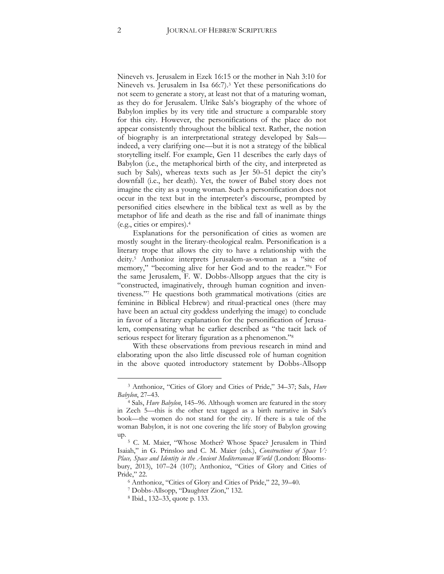Nineveh vs. Jerusalem in Ezek 16:15 or the mother in Nah 3:10 for Nineveh vs. Jerusalem in Isa 66:7).<sup>3</sup> Yet these personifications do not seem to generate a story, at least not that of a maturing woman, as they do for Jerusalem. Ulrike Sals's biography of the whore of Babylon implies by its very title and structure a comparable story for this city. However, the personifications of the place do not appear consistently throughout the biblical text. Rather, the notion of biography is an interpretational strategy developed by Sals indeed, a very clarifying one—but it is not a strategy of the biblical storytelling itself. For example, Gen 11 describes the early days of Babylon (i.e., the metaphorical birth of the city, and interpreted as such by Sals), whereas texts such as Jer 50–51 depict the city's downfall (i.e., her death). Yet, the tower of Babel story does not imagine the city as a young woman. Such a personification does not occur in the text but in the interpreter's discourse, prompted by personified cities elsewhere in the biblical text as well as by the metaphor of life and death as the rise and fall of inanimate things (e.g., cities or empires).<sup>4</sup>

Explanations for the personification of cities as women are mostly sought in the literary-theological realm. Personification is a literary trope that allows the city to have a relationship with the deity.<sup>5</sup> Anthonioz interprets Jerusalem-as-woman as a "site of memory," "becoming alive for her God and to the reader."<sup>6</sup> For the same Jerusalem, F. W. Dobbs-Allsopp argues that the city is "constructed, imaginatively, through human cognition and inventiveness."<sup>7</sup> He questions both grammatical motivations (cities are feminine in Biblical Hebrew) and ritual-practical ones (there may have been an actual city goddess underlying the image) to conclude in favor of a literary explanation for the personification of Jerusalem, compensating what he earlier described as "the tacit lack of serious respect for literary figuration as a phenomenon."<sup>8</sup>

With these observations from previous research in mind and elaborating upon the also little discussed role of human cognition in the above quoted introductory statement by Dobbs-Allsopp

<sup>3</sup> Anthonioz, "Cities of Glory and Cities of Pride," 34–37; Sals, *Hure Babylon*, 27–43.

<sup>4</sup> Sals, *Hure Babylon*, 145–96. Although women are featured in the story in Zech 5—this is the other text tagged as a birth narrative in Sals's book—the women do not stand for the city. If there is a tale of the woman Babylon, it is not one covering the life story of Babylon growing up.

<sup>5</sup> C. M. Maier, "Whose Mother? Whose Space? Jerusalem in Third Isaiah," in G. Prinsloo and C. M. Maier (eds.), *Constructions of Space V: Place, Space and Identity in the Ancient Mediterranean World* (London: Bloomsbury, 2013), 107–24 (107); Anthonioz, "Cities of Glory and Cities of Pride," 22.

<sup>6</sup> Anthonioz, "Cities of Glory and Cities of Pride," 22, 39–40.

<sup>7</sup> Dobbs-Allsopp, "Daughter Zion," 132.

<sup>8</sup> Ibid., 132–33, quote p. 133.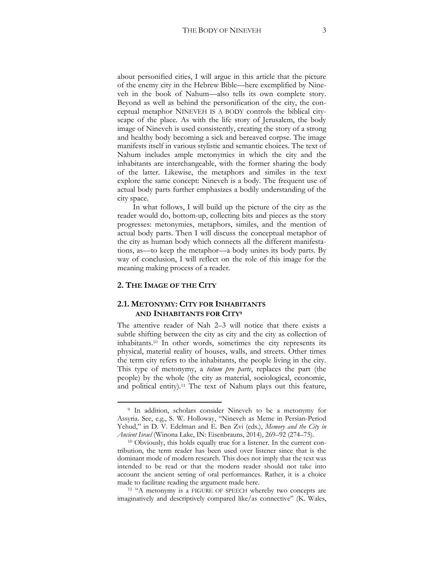about personified cities, I will argue in this article that the picture of the enemy city in the Hebrew Bible—here exemplified by Nineveh in the book of Nahum—also tells its own complete story. Beyond as well as behind the personification of the city, the conceptual metaphor NINEVEH IS A BODY controls the biblical cityscape of the place. As with the life story of Jerusalem, the body image of Nineveh is used consistently, creating the story of a strong and healthy body becoming a sick and bereaved corpse. The image manifests itself in various stylistic and semantic choices. The text of Nahum includes ample metonymies in which the city and the inhabitants are interchangeable, with the former sharing the body of the latter. Likewise, the metaphors and similes in the text explore the same concept: Nineveh is a body. The frequent use of actual body parts further emphasizes a bodily understanding of the city space.

In what follows, I will build up the picture of the city as the reader would do, bottom-up, collecting bits and pieces as the story progresses: metonymies, metaphors, similes, and the mention of actual body parts. Then I will discuss the conceptual metaphor of the city as human body which connects all the different manifestations, as—to keep the metaphor—a body unites its body parts. By way of conclusion, I will reflect on the role of this image for the meaning making process of a reader.

#### **2. THE IMAGE OF THE CITY**

 $\overline{a}$ 

#### **2.1. METONYMY: CITY FOR INHABITANTS AND INHABITANTS FOR CITY<sup>9</sup>**

The attentive reader of Nah 2–3 will notice that there exists a subtle shifting between the city as city and the city as collection of inhabitants.<sup>10</sup> In other words, sometimes the city represents its physical, material reality of houses, walls, and streets. Other times the term city refers to the inhabitants, the people living in the city. This type of metonymy, a *totum pro parte*, replaces the part (the people) by the whole (the city as material, sociological, economic, and political entity).<sup>11</sup> The text of Nahum plays out this feature,

<sup>11</sup> "A metonymy is a FIGURE OF SPEECH whereby two concepts are imaginatively and descriptively compared like/as connective" (K. Wales,

<sup>9</sup> In addition, scholars consider Nineveh to be a metonymy for Assyria. See, e.g., S. W. Holloway, "Nineveh as Meme in Persian-Period Yehud," in D. V. Edelman and E. Ben Zvi (eds.), *Memory and the City in Ancient Israel* (Winona Lake, IN: Eisenbrauns, 2014), 269–92 (274–75).

<sup>10</sup> Obviously, this holds equally true for a listener. In the current contribution, the term reader has been used over listener since that is the dominant mode of modern research. This does not imply that the text was intended to be read or that the modern reader should not take into account the ancient setting of oral performances. Rather, it is a choice made to facilitate reading the argument made here.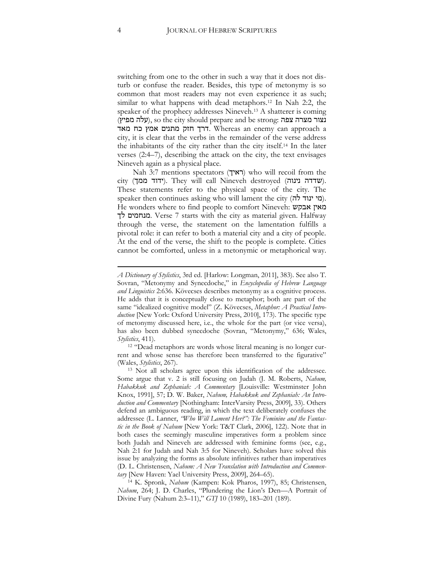switching from one to the other in such a way that it does not disturb or confuse the reader. Besides, this type of metonymy is so common that most readers may not even experience it as such; similar to what happens with dead metaphors.<sup>12</sup> In Nah 2:2, the speaker of the prophecy addresses Nineveh.<sup>13</sup> A shatterer is coming (עלה מפיץ), so the city should prepare and be strong: נצור מצרה צפה a approach can enemy an Whereas .דרך חזק מתנים אמץ כח מאד city, it is clear that the verbs in the remainder of the verse address the inhabitants of the city rather than the city itself.<sup>14</sup> In the later verses (2:4–7), describing the attack on the city, the text envisages Nineveh again as a physical place.

Nah 3:7 mentions spectators (ראיך) who will recoil from the city (סעדדה נינוה). They will call Nineveh destroyed (שדדה נינוה). These statements refer to the physical space of the city. The speaker then continues asking who will lament the city (מי ינוד לה). He wonders where to find people to comfort Nineveh: אבקש מאין לך מנחמים. Verse 7 starts with the city as material given. Halfway through the verse, the statement on the lamentation fulfills a pivotal role: it can refer to both a material city and a city of people. At the end of the verse, the shift to the people is complete. Cities cannot be comforted, unless in a metonymic or metaphorical way.

<sup>12</sup> "Dead metaphors are words whose literal meaning is no longer current and whose sense has therefore been transferred to the figurative" (Wales, *Stylistics*, 267).

*A Dictionary of Stylistics*, 3rd ed. [Harlow: Longman, 2011], 383). See also T. Sovran, "Metonymy and Synecdoche," in *Encyclopedia of Hebrew Language and Linguistics* 2:636. Kövecses describes metonymy as a cognitive process. He adds that it is conceptually close to metaphor; both are part of the same "idealized cognitive model" (Z. Kövecses, *Metaphor: A Practical Introduction* [New York: Oxford University Press, 2010], 173). The specific type of metonymy discussed here, i.e., the whole for the part (or vice versa), has also been dubbed synecdoche (Sovran, "Metonymy," 636; Wales, *Stylistics*, 411).

<sup>13</sup> Not all scholars agree upon this identification of the addressee. Some argue that v. 2 is still focusing on Judah (J. M. Roberts, *Nahum, Habakkuk and Zephaniah: A Commentary* [Louisville: Westminster John Knox, 1991], 57; D. W. Baker, *Nahum, Habakkuk and Zephaniah: An Introduction and Commentary* [Nothingham: InterVarsity Press, 2009], 33). Others defend an ambiguous reading, in which the text deliberately confuses the addressee (L. Lanner, *"Who Will Lament Her?": The Feminine and the Fantastic in the Book of Nahum* [New York: T&T Clark, 2006], 122). Note that in both cases the seemingly masculine imperatives form a problem since both Judah and Nineveh are addressed with feminine forms (see, e.g., Nah 2:1 for Judah and Nah 3:5 for Nineveh). Scholars have solved this issue by analyzing the forms as absolute infinitives rather than imperatives (D. L. Christensen, *Nahum: A New Translation with Introduction and Commentary* [New Haven: Yael University Press, 2009], 264–65).

<sup>14</sup> K. Spronk, *Nahum* (Kampen: Kok Pharos, 1997), 85; Christensen, *Nahum*, 264; J. D. Charles, "Plundering the Lion's Den—A Portrait of Divine Fury (Nahum 2:3–11)," *GTJ* 10 (1989), 183–201 (189).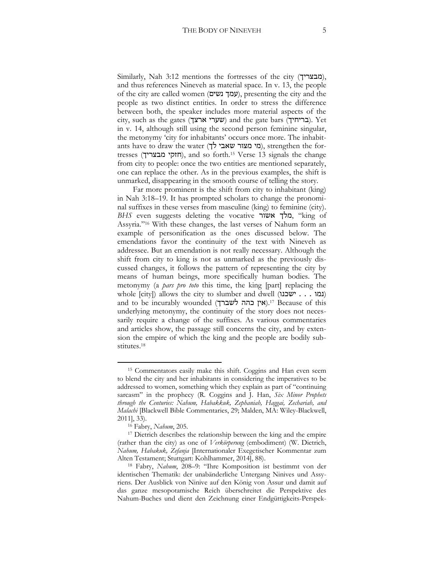Similarly, Nah 3:12 mentions the fortresses of the city (מבצריך), and thus references Nineveh as material space. In v. 13, the people of the city are called women (עמך נשים), presenting the city and the people as two distinct entities. In order to stress the difference between both, the speaker includes more material aspects of the city, such as the gates (שערי ארצך) and the gate bars (בריחיך). Yet in v. 14, although still using the second person feminine singular, the metonymy 'city for inhabitants' occurs once more. The inhabitants have to draw the water (מי מצור שאבי מצור מאבי), strengthen the fortresses (חזקי מבצריך), and so forth.<sup>15</sup> Verse 13 signals the change from city to people: once the two entities are mentioned separately, one can replace the other. As in the previous examples, the shift is unmarked, disappearing in the smooth course of telling the story.

Far more prominent is the shift from city to inhabitant (king) in Nah 3:18–19. It has prompted scholars to change the pronominal suffixes in these verses from masculine (king) to feminine (city). *BHS* even suggests deleting the vocative אשור מלך," king of Assyria."<sup>16</sup> With these changes, the last verses of Nahum form an example of personification as the ones discussed below. The emendations favor the continuity of the text with Nineveh as addressee. But an emendation is not really necessary. Although the shift from city to king is not as unmarked as the previously discussed changes, it follows the pattern of representing the city by means of human beings, more specifically human bodies. The metonymy (a *pars pro toto* this time, the king [part] replacing the whole [city]) allows the city to slumber and dwell (נמו . . . ישכנו) and to be incurably wounded (אין כהה לשברך).<sup>17</sup> Because of this underlying metonymy, the continuity of the story does not necessarily require a change of the suffixes. As various commentaries and articles show, the passage still concerns the city, and by extension the empire of which the king and the people are bodily substitutes.<sup>18</sup>

<sup>15</sup> Commentators easily make this shift. Coggins and Han even seem to blend the city and her inhabitants in considering the imperatives to be addressed to women, something which they explain as part of "continuing sarcasm" in the prophecy (R. Coggins and J. Han, *Six Minor Prophets through the Centuries: Nahum, Habakkuk, Zephaniah, Haggai, Zechariah, and Malachi* [Blackwell Bible Commentaries, 29; Malden, MA: Wiley-Blackwell, 2011], 33).

<sup>16</sup> Fabry, *Nahum*, 205.

<sup>&</sup>lt;sup>17</sup> Dietrich describes the relationship between the king and the empire (rather than the city) as one of *Verkörperung* (embodiment) (W. Dietrich, *Nahum, Habakuk, Zefanja* [Internationaler Exegetischer Kommentar zum Alten Testament; Stuttgart: Kohlhammer, 2014], 88).

<sup>18</sup> Fabry, *Nahum*, 208–9: "Ihre Komposition ist bestimmt von der identischen Thematik: der unabänderliche Untergang Ninives und Assyriens. Der Ausblick von Ninive auf den König von Assur und damit auf das ganze mesopotamische Reich überschreitet die Perspektive des Nahum-Buches und dient den Zeichnung einer Endgüttigkeits-Perspek-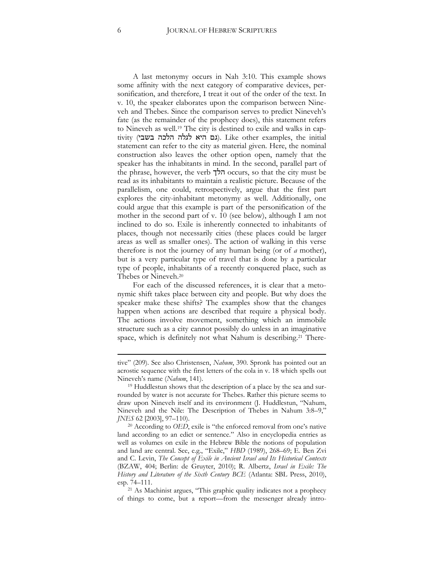A last metonymy occurs in Nah 3:10. This example shows some affinity with the next category of comparative devices, personification, and therefore, I treat it out of the order of the text. In v. 10, the speaker elaborates upon the comparison between Nineveh and Thebes. Since the comparison serves to predict Nineveh's fate (as the remainder of the prophecy does), this statement refers to Nineveh as well.<sup>19</sup> The city is destined to exile and walks in captivity (גם היא לגלה הלכה בשבי). Like other examples, the initial statement can refer to the city as material given. Here, the nominal construction also leaves the other option open, namely that the speaker has the inhabitants in mind. In the second, parallel part of the phrase, however, the verb הלך occurs, so that the city must be read as its inhabitants to maintain a realistic picture. Because of the parallelism, one could, retrospectively, argue that the first part explores the city-inhabitant metonymy as well. Additionally, one could argue that this example is part of the personification of the mother in the second part of v. 10 (see below), although I am not inclined to do so. Exile is inherently connected to inhabitants of places, though not necessarily cities (these places could be larger areas as well as smaller ones). The action of walking in this verse therefore is not the journey of any human being (or of *a* mother), but is a very particular type of travel that is done by a particular type of people, inhabitants of a recently conquered place, such as Thebes or Nineveh.<sup>20</sup>

For each of the discussed references, it is clear that a metonymic shift takes place between city and people. But why does the speaker make these shifts? The examples show that the changes happen when actions are described that require a physical body. The actions involve movement, something which an immobile structure such as a city cannot possibly do unless in an imaginative space, which is definitely not what Nahum is describing.<sup>21</sup> There-

tive" (209). See also Christensen, *Nahum*, 390. Spronk has pointed out an acrostic sequence with the first letters of the cola in v. 18 which spells out Nineveh's name (*Nahum*, 141).

<sup>&</sup>lt;sup>19</sup> Huddlestun shows that the description of a place by the sea and surrounded by water is not accurate for Thebes. Rather this picture seems to draw upon Nineveh itself and its environment (J. Huddlestun, "Nahum, Nineveh and the Nile: The Description of Thebes in Nahum 3:8–9," *JNES* 62 [2003], 97–110).

<sup>20</sup> According to *OED*, exile is "the enforced removal from one's native land according to an edict or sentence." Also in encyclopedia entries as well as volumes on exile in the Hebrew Bible the notions of population and land are central. See, e.g., "Exile," *HBD* (1989), 268–69; E. Ben Zvi and C. Levin, *The Concept of Exile in Ancient Israel and Its Historical Contexts* (BZAW, 404; Berlin: de Gruyter, 2010); R. Albertz, *Israel in Exile: The History and Literature of the Sixth Century BCE* (Atlanta: SBL Press, 2010), esp. 74–111.

<sup>21</sup> As Machinist argues, "This graphic quality indicates not a prophecy of things to come, but a report—from the messenger already intro-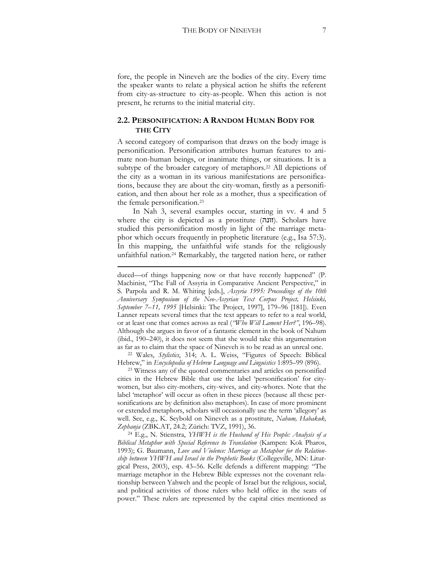fore, the people in Nineveh are the bodies of the city. Every time the speaker wants to relate a physical action he shifts the referent from city-as-structure to city-as-people. When this action is not present, he returns to the initial material city.

#### **2.2. PERSONIFICATION: A RANDOM HUMAN BODY FOR THE CITY**

A second category of comparison that draws on the body image is personification. Personification attributes human features to animate non-human beings, or inanimate things, or situations. It is a subtype of the broader category of metaphors.<sup>22</sup> All depictions of the city as a woman in its various manifestations are personifications, because they are about the city-woman, firstly as a personification, and then about her role as a mother, thus a specification of the female personification.<sup>23</sup>

In Nah 3, several examples occur, starting in vv. 4 and 5 where the city is depicted as a prostitute  $(n)$ . Scholars have studied this personification mostly in light of the marriage metaphor which occurs frequently in prophetic literature (e.g., Isa 57:3). In this mapping, the unfaithful wife stands for the religiously unfaithful nation.<sup>24</sup> Remarkably, the targeted nation here, or rather

**.** 

<sup>22</sup> Wales, *Stylistics*, 314; A. L. Weiss, "Figures of Speech: Biblical Hebrew," in *Encyclopedia of Hebrew Language and Linguistics* 1:895–99 (896).

<sup>23</sup> Witness any of the quoted commentaries and articles on personified cities in the Hebrew Bible that use the label 'personification' for citywomen, but also city-mothers, city-wives, and city-whores. Note that the label 'metaphor' will occur as often in these pieces (because all these personifications are by definition also metaphors). In case of more prominent or extended metaphors, scholars will occasionally use the term 'allegory' as well. See, e.g., K. Seybold on Nineveh as a prostitute, *Nahum, Habakuk, Zephanja* (ZBK.AT, 24.2; Zürich: TVZ, 1991), 36.

<sup>24</sup> E.g., N. Stienstra, *YHWH is the Husband of His People: Analysis of a Biblical Metaphor with Special Reference to Translation* (Kampen: Kok Pharos, 1993); G. Baumann, *Love and Violence: Marriage as Metaphor for the Relationship between YHWH and Israel in the Prophetic Books* (Collegeville, MN: Liturgical Press, 2003), esp. 43–56. Kelle defends a different mapping: "The marriage metaphor in the Hebrew Bible expresses not the covenant relationship between Yahweh and the people of Israel but the religious, social, and political activities of those rulers who held office in the seats of power." These rulers are represented by the capital cities mentioned as

duced—of things happening now or that have recently happened" (P. Machinist, "The Fall of Assyria in Comparative Ancient Perspective," in S. Parpola and R. M. Whiting [eds.], *Assyria 1995: Proceedings of the 10th Anniversary Symposium of the Neo-Assyrian Text Corpus Project, Helsinki, September 7–11, 1995* [Helsinki: The Project, 1997], 179–96 [181]). Even Lanner repeats several times that the text appears to refer to a real world, or at least one that comes across as real (*"Who Will Lament Her?"*, 196–98). Although she argues in favor of a fantastic element in the book of Nahum (ibid., 190–240), it does not seem that she would take this argumentation as far as to claim that the space of Nineveh is to be read as an unreal one.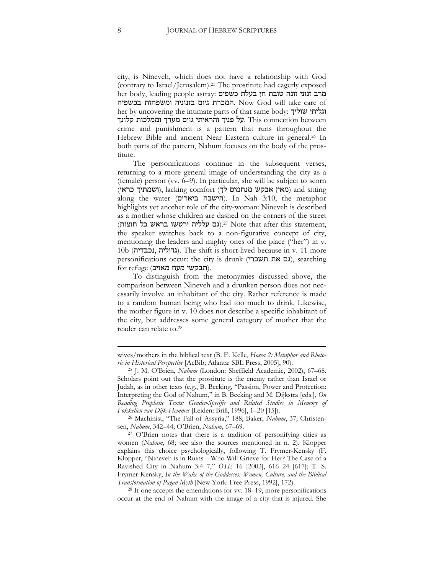city, is Nineveh, which does not have a relationship with God (contrary to Israel/Jerusalem).<sup>25</sup> The prostitute had eagerly exposed her body, leading people astray: מרב זנוני זונה טובת חן בעלת כשפים בכשפיה ומשפחות בזנוניה גיום המכרת. Now God will take care of her by uncovering the intimate parts of that same body: שוליך וגליתי על פניך והראיתי גוים מערך וממלכות קלונך. This connection between crime and punishment is a pattern that runs throughout the Hebrew Bible and ancient Near Eastern culture in general.<sup>26</sup> In both parts of the pattern, Nahum focuses on the body of the prostitute.

The personifications continue in the subsequent verses, returning to a more general image of understanding the city as a (female) person (vv. 6–9). In particular, she will be subject to scorn (מאין אבקש מנחמים לך), lacking comfort (מאין אבקש מנחמים ל along the water (הישבה ביארים). In Nah 3:10, the metaphor highlights yet another role of the city-woman: Nineveh is described as a mother whose children are dashed on the corners of the street (גם עלליה ירטשו בראש כל חוצות).<sup>27</sup> Note that after this statement, the speaker switches back to a non-figurative concept of city, mentioning the leaders and mighty ones of the place ("her") in v. 10b (גדוליה). The shift is short-lived because in v. 11 more personifications occur: the city is drunk (גם את תשכרי), searching  $for$  refuge (תבקשי מעוז מאויב).

To distinguish from the metonymies discussed above, the comparison between Nineveh and a drunken person does not necessarily involve an inhabitant of the city. Rather reference is made to a random human being who had too much to drink. Likewise, the mother figure in v. 10 does not describe a specific inhabitant of the city, but addresses some general category of mother that the reader can relate to.<sup>28</sup>

<sup>28</sup> If one accepts the emendations for vv. 18–19, more personifications occur at the end of Nahum with the image of a city that is injured. She

wives/mothers in the biblical text (B. E. Kelle, *Hosea 2: Metaphor and Rhetoric in Historical Perspective* [AcBib; Atlanta: SBL Press, 2005], 90).

<sup>25</sup> J. M. O'Brien, *Nahum* (London: Sheffield Academic, 2002), 67–68. Scholars point out that the prostitute is the enemy rather than Israel or Judah, as in other texts (e.g., B. Becking, "Passion, Power and Protection: Interpreting the God of Nahum," in B. Becking and M. Dijkstra [eds.], *On Reading Prophetic Texts: Gender-Specific and Related Studies in Memory of Fokkelien van Dijk-Hemmes* [Leiden: Brill, 1996], 1–20 [15]).

<sup>26</sup> Machinist, "The Fall of Assyria," 188; Baker, *Nahum*, 37; Christensen, *Nahum*, 342–44; O'Brien, *Nahum*, 67–69.

<sup>27</sup> O'Brien notes that there is a tradition of personifying cities as women (*Nahum*, 68; see also the sources mentioned in n. 2). Klopper explains this choice psychologically, following T. Frymer-Kensky (F. Klopper, "Nineveh is in Ruins—Who Will Grieve for Her? The Case of a Ravished City in Nahum 3:4–7," *OTE* 16 [2003], 616–24 [617]; T. S. Frymer-Kensky, *In the Wake of the Goddesses: Women, Culture, and the Biblical Transformation of Pagan Myth* [New York: Free Press, 1992], 172).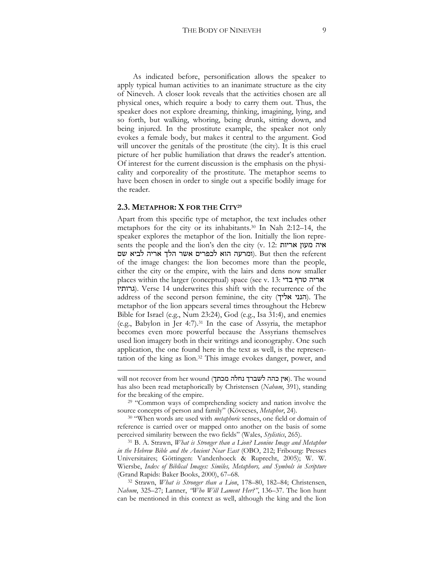As indicated before, personification allows the speaker to apply typical human activities to an inanimate structure as the city of Nineveh. A closer look reveals that the activities chosen are all physical ones, which require a body to carry them out. Thus, the speaker does not explore dreaming, thinking, imagining, lying, and so forth, but walking, whoring, being drunk, sitting down, and being injured. In the prostitute example, the speaker not only evokes a female body, but makes it central to the argument. God will uncover the genitals of the prostitute (the city). It is this cruel picture of her public humiliation that draws the reader's attention. Of interest for the current discussion is the emphasis on the physicality and corporeality of the prostitute. The metaphor seems to have been chosen in order to single out a specific bodily image for the reader.

#### **2.3. METAPHOR: X FOR THE CITY<sup>29</sup>**

**.** 

Apart from this specific type of metaphor, the text includes other metaphors for the city or its inhabitants.<sup>30</sup> In Nah 2:12–14, the speaker explores the metaphor of the lion. Initially the lion represents the people and the lion's den the city (v. 12: אריות מעון איה ומרעה הוא לכפרים אשר הלך אריה לביא שם). But then the referent of the image changes: the lion becomes more than the people, either the city or the empire, with the lairs and dens now smaller places within the larger (conceptual) space (see v. 13: בדי טרף אריה גרותיו(. Verse 14 underwrites this shift with the recurrence of the address of the second person feminine, the city (הנני אליך). The metaphor of the lion appears several times throughout the Hebrew Bible for Israel (e.g., Num 23:24), God (e.g., Isa 31:4), and enemies (e.g., Babylon in Jer 4:7).<sup>31</sup> In the case of Assyria, the metaphor becomes even more powerful because the Assyrians themselves used lion imagery both in their writings and iconography. One such application, the one found here in the text as well, is the representation of the king as lion.<sup>32</sup> This image evokes danger, power, and

will not recover from her wound (אין כהה לשברך נחלה מכתך). The wound has also been read metaphorically by Christensen (*Nahum*, 391), standing for the breaking of the empire.

<sup>&</sup>lt;sup>29</sup> "Common ways of comprehending society and nation involve the source concepts of person and family" (Kövecses, *Metaphor*, 24).

<sup>30</sup> "When words are used with *metaphoric* senses, one field or domain of reference is carried over or mapped onto another on the basis of some perceived similarity between the two fields" (Wales, *Stylistics*, 265).

<sup>31</sup> B. A. Strawn, *What is Stronger than a Lion? Leonine Image and Metaphor in the Hebrew Bible and the Ancient Near East* (OBO, 212; Fribourg: Presses Universitaires; Göttingen: Vandenhoeck & Ruprecht, 2005); W. W. Wiersbe, *Index of Biblical Images: Similes, Metaphors, and Symbols in Scripture*  (Grand Rapids: Baker Books, 2000), 67–68.

<sup>32</sup> Strawn, *What is Stronger than a Lion*, 178–80, 182–84; Christensen, *Nahum*, 325–27; Lanner, *"Who Will Lament Her?"*, 136–37. The lion hunt can be mentioned in this context as well, although the king and the lion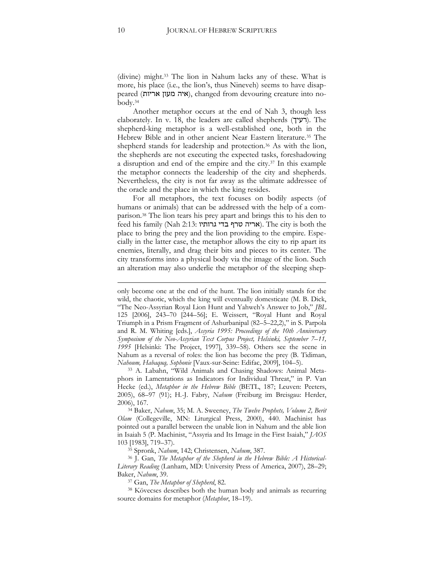(divine) might.<sup>33</sup> The lion in Nahum lacks any of these. What is more, his place (i.e., the lion's, thus Nineveh) seems to have disappeared (איה מעון אריות), changed from devouring creature into nobody.<sup>34</sup>

Another metaphor occurs at the end of Nah 3, though less elaborately. In v. 18, the leaders are called shepherds (רעיך). The shepherd-king metaphor is a well-established one, both in the Hebrew Bible and in other ancient Near Eastern literature.<sup>35</sup> The shepherd stands for leadership and protection.<sup>36</sup> As with the lion, the shepherds are not executing the expected tasks, foreshadowing a disruption and end of the empire and the city.<sup>37</sup> In this example the metaphor connects the leadership of the city and shepherds. Nevertheless, the city is not far away as the ultimate addressee of the oracle and the place in which the king resides.

For all metaphors, the text focuses on bodily aspects (of humans or animals) that can be addressed with the help of a comparison.<sup>38</sup> The lion tears his prey apart and brings this to his den to feed his family (Nah 2:13: אריה טרף בדי גרותיו). The city is both the place to bring the prey and the lion providing to the empire. Especially in the latter case, the metaphor allows the city to rip apart its enemies, literally, and drag their bits and pieces to its center. The city transforms into a physical body via the image of the lion. Such an alteration may also underlie the metaphor of the sleeping shep-

<sup>33</sup> A. Labahn, "Wild Animals and Chasing Shadows: Animal Metaphors in Lamentations as Indicators for Individual Threat," in P. Van Hecke (ed.), *Metaphor in the Hebrew Bible* (BETL, 187; Leuven: Peeters, 2005), 68–97 (91); H.-J. Fabry, *Nahum* (Freiburg im Breisgau: Herder, 2006), 167.

<sup>34</sup> Baker, *Nahum*, 35; M. A. Sweeney, *The Twelve Prophets, Volume 2, Berit Olam* (Collegeville, MN: Liturgical Press, 2000), 440. Machinist has pointed out a parallel between the unable lion in Nahum and the able lion in Isaiah 5 (P. Machinist, "Assyria and Its Image in the First Isaiah," *JAOS* 103 [1983], 719–37).

<sup>35</sup> Spronk, *Nahum*, 142; Christensen, *Nahum*, 387.

<sup>36</sup> J. Gan, *The Metaphor of the Shepherd in the Hebrew Bible: A Historical-Literary Reading* (Lanham, MD: University Press of America, 2007), 28–29; Baker, *Nahum*, 39.

<sup>37</sup> Gan, *The Metaphor of Shepherd*, 82.

<sup>38</sup> Kövecses describes both the human body and animals as recurring source domains for metaphor (*Metaphor*, 18–19).

only become one at the end of the hunt. The lion initially stands for the wild, the chaotic, which the king will eventually domesticate (M. B. Dick, "The Neo-Assyrian Royal Lion Hunt and Yahweh's Answer to Job," *JBL* 125 [2006], 243–70 [244–56]; E. Weissert, "Royal Hunt and Royal Triumph in a Prism Fragment of Ashurbanipal (82–5–22,2)," in S. Parpola and R. M. Whiting [eds.], *Assyria 1995: Proceedings of the 10th Anniversary Symposium of the Neo-Assyrian Text Corpus Project, Helsinki, September 7–11, 1995* [Helsinki: The Project, 1997], 339–58). Others see the scene in Nahum as a reversal of roles: the lion has become the prey (B. Tidiman, *Nahoum, Habaquq, Sophonie* [Vaux-sur-Seine: Edifac, 2009], 104–5).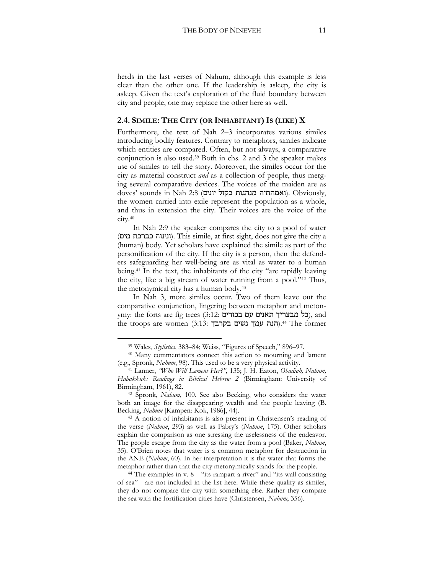herds in the last verses of Nahum, although this example is less clear than the other one. If the leadership is asleep, the city is asleep. Given the text's exploration of the fluid boundary between city and people, one may replace the other here as well.

#### **2.4. SIMILE: THE CITY (OR INHABITANT) IS (LIKE) X**

Furthermore, the text of Nah 2–3 incorporates various similes introducing bodily features. Contrary to metaphors, similes indicate which entities are compared. Often, but not always, a comparative conjunction is also used.<sup>39</sup> Both in chs. 2 and 3 the speaker makes use of similes to tell the story. Moreover, the similes occur for the city as material construct *and* as a collection of people, thus merging several comparative devices. The voices of the maiden are as doves' sounds in Nah 2:8 (ואמהתיה מנהגות כקול יונים). Obviously, the women carried into exile represent the population as a whole, and thus in extension the city. Their voices are the voice of the city.<sup>40</sup>

In Nah 2:9 the speaker compares the city to a pool of water (ונינוה כברכת מים). This simile, at first sight, does not give the city a (human) body. Yet scholars have explained the simile as part of the personification of the city. If the city is a person, then the defenders safeguarding her well-being are as vital as water to a human being.<sup>41</sup> In the text, the inhabitants of the city "are rapidly leaving the city, like a big stream of water running from a pool."<sup>42</sup> Thus, the metonymical city has a human body.<sup>43</sup>

In Nah 3, more similes occur. Two of them leave out the comparative conjunction, lingering between metaphor and metonymy: the forts are fig trees (3:12: בל מבצריך תאנים עם בכורים), and the troops are women (3:13: הנה עמך נשים בקרבך).<sup>44</sup> The former

<sup>39</sup> Wales, *Stylistics*, 383–84; Weiss, "Figures of Speech," 896–97.

<sup>40</sup> Many commentators connect this action to mourning and lament (e.g., Spronk, *Nahum*, 98). This used to be a very physical activity.

<sup>41</sup> Lanner, *"Who Will Lament Her?"*, 135; J. H. Eaton, *Obadiah, Nahum, Habakkuk: Readings in Biblical Hebrew 2* (Birmingham: University of Birmingham, 1961), 82.

<sup>42</sup> Spronk, *Nahum*, 100. See also Becking, who considers the water both an image for the disappearing wealth and the people leaving (B. Becking, *Nahum* [Kampen: Kok, 1986], 44).

<sup>43</sup> A notion of inhabitants is also present in Christensen's reading of the verse (*Nahum*, 293) as well as Fabry's (*Nahum*, 175). Other scholars explain the comparison as one stressing the uselessness of the endeavor. The people escape from the city as the water from a pool (Baker, *Nahum*, 35). O'Brien notes that water is a common metaphor for destruction in the ANE (*Nahum*, 60). In her interpretation it is the water that forms the metaphor rather than that the city metonymically stands for the people.

<sup>44</sup> The examples in v. 8—"its rampart a river" and "its wall consisting of sea"—are not included in the list here. While these qualify as similes, they do not compare the city with something else. Rather they compare the sea with the fortification cities have (Christensen, *Nahum*, 356).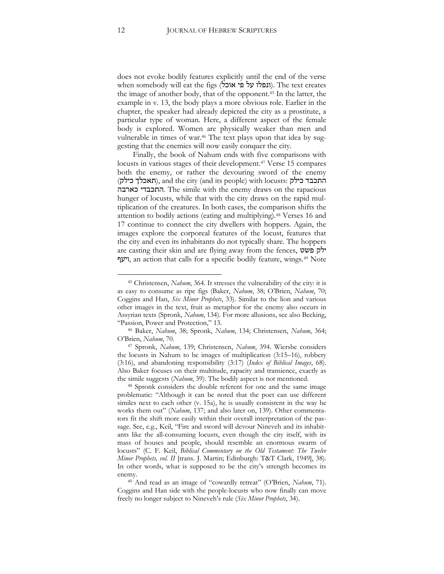does not evoke bodily features explicitly until the end of the verse when somebody will eat the figs (ונפלו על פי אוכל). The text creates the image of another body, that of the opponent.<sup>45</sup> In the latter, the example in v. 13, the body plays a more obvious role. Earlier in the chapter, the speaker had already depicted the city as a prostitute, a particular type of woman. Here, a different aspect of the female body is explored. Women are physically weaker than men and vulnerable in times of war.<sup>46</sup> The text plays upon that idea by suggesting that the enemies will now easily conquer the city.

Finally, the book of Nahum ends with five comparisons with locusts in various stages of their development.<sup>47</sup> Verse 15 compares both the enemy, or rather the devouring sword of the enemy (תאכלך כילק), and the city (and its people) with locusts: התכבד כילק כארבה התכבדי. The simile with the enemy draws on the rapacious hunger of locusts, while that with the city draws on the rapid multiplication of the creatures. In both cases, the comparison shifts the attention to bodily actions (eating and multiplying).<sup>48</sup> Verses 16 and 17 continue to connect the city dwellers with hoppers. Again, the images explore the corporeal features of the locust, features that the city and even its inhabitants do not typically share. The hoppers are casting their skin and are flying away from the fences, פשט ילק ויעף, an action that calls for a specific bodily feature, wings.<sup>49</sup> Note

<sup>45</sup> Christensen, *Nahum*, 364. It stresses the vulnerability of the city: it is as easy to consume as ripe figs (Baker, *Nahum*, 38; O'Brien, *Nahum*, 70; Coggins and Han, *Six Minor Prophets*, 33). Similar to the lion and various other images in the text, fruit as metaphor for the enemy also occurs in Assyrian texts (Spronk, *Nahum*, 134). For more allusions, see also Becking, "Passion, Power and Protection," 13.

<sup>46</sup> Baker, *Nahum*, 38; Spronk, *Nahum*, 134; Christensen, *Nahum*, 364; O'Brien, *Nahum*, 70.

<sup>47</sup> Spronk, *Nahum*, 139; Christensen, *Nahum*, 394. Wiersbe considers the locusts in Nahum to be images of multiplication (3:15–16), robbery (3:16), and abandoning responsibility (3:17) (*Index of Biblical Images*, 68). Also Baker focuses on their multitude, rapacity and transience, exactly as the simile suggests (*Nahum*, 39). The bodily aspect is not mentioned.

<sup>48</sup> Spronk considers the double referent for one and the same image problematic: "Although it can be noted that the poet can use different similes next to each other (v. 15a), he is usually consistent in the way he works them out" (*Nahum*, 137; and also later on, 139). Other commentators fit the shift more easily within their overall interpretation of the passage. See, e.g., Keil, "Fire and sword will devour Nineveh and its inhabitants like the all-consuming locusts, even though the city itself, with its mass of houses and people, should resemble an enormous swarm of locusts" (C. F. Keil, *Biblical Commentary on the Old Testament: The Twelve Minor Prophets, vol. II* [trans. J. Martin; Edinburgh: T&T Clark, 1949], 38). In other words, what is supposed to be the city's strength becomes its enemy.

<sup>&</sup>lt;sup>49</sup> And read as an image of "cowardly retreat" (O'Brien, *Nahum*, 71). Coggins and Han side with the people-locusts who now finally can move freely no longer subject to Nineveh's rule (*Six Minor Prophets*, 34).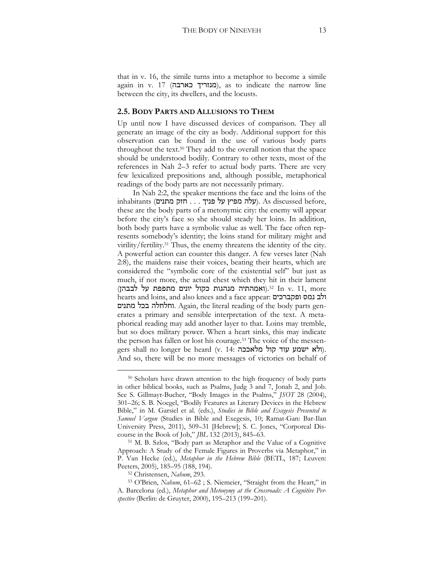that in v. 16, the simile turns into a metaphor to become a simile again in v. 17 (מנזריך כארבה), as to indicate the narrow line between the city, its dwellers, and the locusts.

#### **2.5. BODY PARTS AND ALLUSIONS TO THEM**

Up until now I have discussed devices of comparison. They all generate an image of the city as body. Additional support for this observation can be found in the use of various body parts throughout the text.<sup>50</sup> They add to the overall notion that the space should be understood bodily. Contrary to other texts, most of the references in Nah 2–3 refer to actual body parts. There are very few lexicalized prepositions and, although possible, metaphorical readings of the body parts are not necessarily primary.

In Nah 2:2, the speaker mentions the face and the loins of the  $\alpha$ , עלה מפיץ על פניך . . . חזק מתנים). As discussed before, these are the body parts of a metonymic city: the enemy will appear before the city's face so she should steady her loins. In addition, both body parts have a symbolic value as well. The face often represents somebody's identity; the loins stand for military might and virility/fertility.<sup>51</sup> Thus, the enemy threatens the identity of the city. A powerful action can counter this danger. A few verses later (Nah 2:8), the maidens raise their voices, beating their hearts, which are considered the "symbolic core of the existential self" but just as much, if not more, the actual chest which they hit in their lament m v. 11, more ואמהתיה מנהגות כקול יונים מתפפת על לבבהן).<sup>52</sup> In v. 11, more hearts and loins, and also knees and a face appear: ופקברכים נמס ולב מתנים בכל וחלחלה. Again, the literal reading of the body parts generates a primary and sensible interpretation of the text. A metaphorical reading may add another layer to that. Loins may tremble, but so does military power. When a heart sinks, this may indicate the person has fallen or lost his courage.<sup>53</sup> The voice of the messengers shall no longer be heard (v. 14: ולא ישמע עוד קול מלאככה). And so, there will be no more messages of victories on behalf of

<sup>50</sup> Scholars have drawn attention to the high frequency of body parts in other biblical books, such as Psalms, Judg 3 and 7, Jonah 2, and Job. See S. Gillmayr-Bucher, "Body Images in the Psalms," *JSOT* 28 (2004), 301–26; S. B. Noegel, "Bodily Features as Literary Devices in the Hebrew Bible," in M. Garsiel et al. (eds.), *Studies in Bible and Exegesis Presented to Samuel Vargon* (Studies in Bible and Exegesis, 10; Ramat-Gan: Bar-Ilan University Press, 2011), 509–31 [Hebrew]; S. C. Jones, "Corporeal Discourse in the Book of Job," *JBL* 132 (2013), 845–63.

<sup>51</sup> M. B. Szlos, "Body part as Metaphor and the Value of a Cognitive Approach: A Study of the Female Figures in Proverbs via Metaphor," in P. Van Hecke (ed.), *Metaphor in the Hebrew Bible* (BETL, 187; Leuven: Peeters, 2005), 185–95 (188, 194).

<sup>52</sup> Christensen, *Nahum*, 293.

<sup>53</sup> O'Brien, *Nahum*, 61–62 ; S. Niemeier, "Straight from the Heart," in A. Barcelona (ed.), *Metaphor and Metonymy at the Crossroads: A Cognitive Perspective* (Berlin: de Gruyter, 2000), 195–213 (199–201).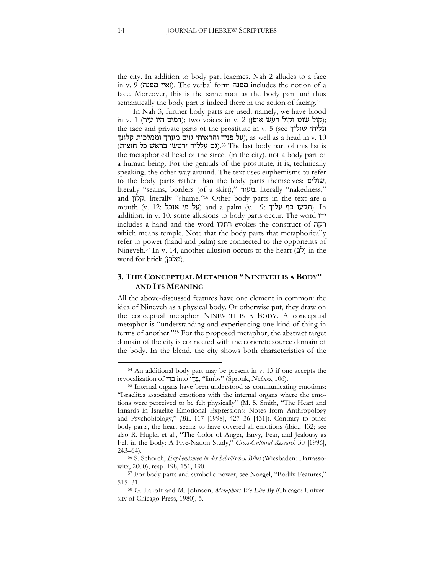the city. In addition to body part lexemes, Nah 2 alludes to a face in v. 9 (מפנה ואין(. The verbal form מפנה includes the notion of a face. Moreover, this is the same root as the body part and thus semantically the body part is indeed there in the action of facing.<sup>54</sup>

In Nah 3, further body parts are used: namely, we have blood  $\gamma$ ; (קול שוט וקול רעש אופן) (ד $\gamma$ ; two voices in v. 2 . קול רעש); the face and private parts of the prostitute in v. 5 (see שוליך וגליתי על פניך והראיתי גוים מערך וממלכות קלונך); as well as a head in v. 10 (גם עלליה ירטשו בראש כל חוצות).<sup>55</sup> The last body part of this list is the metaphorical head of the street (in the city), not a body part of a human being. For the genitals of the prostitute, it is, technically speaking, the other way around. The text uses euphemisms to refer to the body parts rather than the body parts themselves: שולים, literally "seams, borders (of a skirt)," מעור, literally "nakedness," and קלון, literally "shame."<sup>56</sup> Other body parts in the text are a mouth (v. 12: על פי אוכל) and a palm (v. 19: תקעו כף עליך). In addition, in v. 10, some allusions to body parts occur. The word ידו includes a hand and the word רתקו evokes the construct of רקה which means temple. Note that the body parts that metaphorically refer to power (hand and palm) are connected to the opponents of Nineveh.<sup>57</sup> In v. 14, another allusion occurs to the heart  $(2)$  in the  $\omega$ word for brick (מלבן).

#### **3. THE CONCEPTUAL METAPHOR "NINEVEH IS A BODY" AND ITS MEANING**

All the above-discussed features have one element in common: the idea of Nineveh as a physical body. Or otherwise put, they draw on the conceptual metaphor NINEVEH IS A BODY. A conceptual metaphor is "understanding and experiencing one kind of thing in terms of another."<sup>58</sup> For the proposed metaphor, the abstract target domain of the city is connected with the concrete source domain of the body. In the blend, the city shows both characteristics of the

<sup>54</sup> An additional body part may be present in v. 13 if one accepts the revocalization of בְּדֵי into בְּבֵדִי, "limbs" (Spronk, Nahum, 106).

<sup>55</sup> Internal organs have been understood as communicating emotions: "Israelites associated emotions with the internal organs where the emotions were perceived to be felt physically" (M. S. Smith, "The Heart and Innards in Israelite Emotional Expressions: Notes from Anthropology and Psychobiology," *JBL* 117 [1998], 427–36 [431]). Contrary to other body parts, the heart seems to have covered all emotions (ibid., 432; see also R. Hupka et al., "The Color of Anger, Envy, Fear, and Jealousy as Felt in the Body: A Five-Nation Study," *Cross-Cultural Research* 30 [1996], 243–64).

<sup>56</sup> S. Schorch, *Euphemismen in der hebräischen Bibel* (Wiesbaden: Harrassowitz, 2000), resp. 198, 151, 190.

<sup>57</sup> For body parts and symbolic power, see Noegel, "Bodily Features," 515–31.

<sup>58</sup> G. Lakoff and M. Johnson, *Metaphors We Live By* (Chicago: University of Chicago Press, 1980), 5.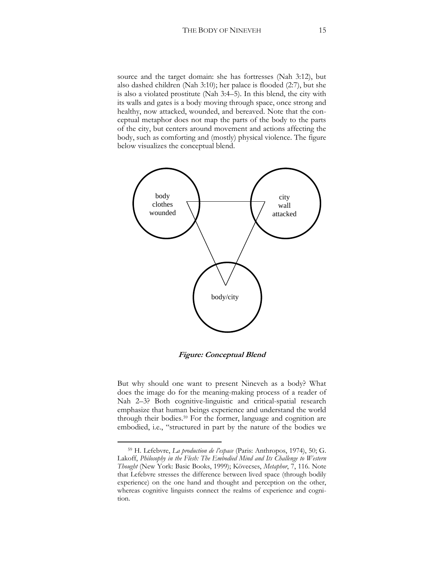source and the target domain: she has fortresses (Nah 3:12), but also dashed children (Nah 3:10); her palace is flooded (2:7), but she is also a violated prostitute (Nah 3:4–5). In this blend, the city with its walls and gates is a body moving through space, once strong and healthy, now attacked, wounded, and bereaved. Note that the conceptual metaphor does not map the parts of the body to the parts of the city, but centers around movement and actions affecting the body, such as comforting and (mostly) physical violence. The figure below visualizes the conceptual blend.



**Figure: Conceptual Blend**

But why should one want to present Nineveh as a body? What does the image do for the meaning-making process of a reader of Nah 2–3? Both cognitive-linguistic and critical-spatial research emphasize that human beings experience and understand the world through their bodies.<sup>59</sup> For the former, language and cognition are embodied, i.e., "structured in part by the nature of the bodies we

<sup>59</sup> H. Lefebvre, *La production de l'espace* (Paris: Anthropos, 1974), 50; G. Lakoff, *Philosophy in the Flesh: The Embodied Mind and Its Challenge to Western Thought* (New York: Basic Books, 1999); Kövecses, *Metaphor*, 7, 116. Note that Lefebvre stresses the difference between lived space (through bodily experience) on the one hand and thought and perception on the other, whereas cognitive linguists connect the realms of experience and cognition.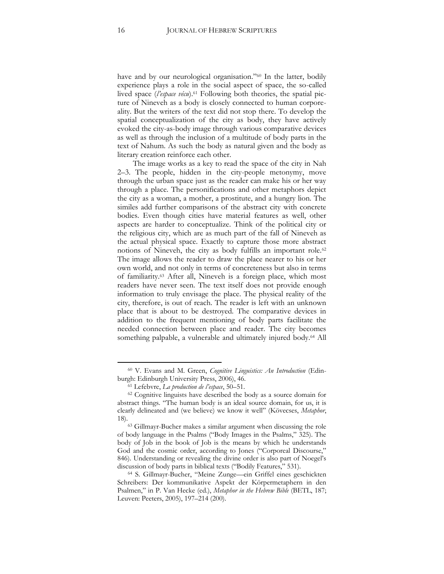have and by our neurological organisation."<sup>60</sup> In the latter, bodily experience plays a role in the social aspect of space, the so-called lived space (*l'espace vécu*).<sup>61</sup> Following both theories, the spatial picture of Nineveh as a body is closely connected to human corporeality. But the writers of the text did not stop there. To develop the spatial conceptualization of the city as body, they have actively evoked the city-as-body image through various comparative devices as well as through the inclusion of a multitude of body parts in the text of Nahum. As such the body as natural given and the body as literary creation reinforce each other.

The image works as a key to read the space of the city in Nah 2–3. The people, hidden in the city-people metonymy, move through the urban space just as the reader can make his or her way through a place. The personifications and other metaphors depict the city as a woman, a mother, a prostitute, and a hungry lion. The similes add further comparisons of the abstract city with concrete bodies. Even though cities have material features as well, other aspects are harder to conceptualize. Think of the political city or the religious city, which are as much part of the fall of Nineveh as the actual physical space. Exactly to capture those more abstract notions of Nineveh, the city as body fulfills an important role.<sup>62</sup> The image allows the reader to draw the place nearer to his or her own world, and not only in terms of concreteness but also in terms of familiarity.<sup>63</sup> After all, Nineveh is a foreign place, which most readers have never seen. The text itself does not provide enough information to truly envisage the place. The physical reality of the city, therefore, is out of reach. The reader is left with an unknown place that is about to be destroyed. The comparative devices in addition to the frequent mentioning of body parts facilitate the needed connection between place and reader. The city becomes something palpable, a vulnerable and ultimately injured body.<sup>64</sup> All

<sup>60</sup> V. Evans and M. Green, *Cognitive Linguistics: An Introduction* (Edinburgh: Edinburgh University Press, 2006), 46.

<sup>61</sup> Lefebvre, *La production de l'espace*, 50–51.

<sup>62</sup> Cognitive linguists have described the body as a source domain for abstract things. "The human body is an ideal source domain, for us, it is clearly delineated and (we believe) we know it well" (Kövecses, *Metaphor*, 18).

<sup>63</sup> Gillmayr-Bucher makes a similar argument when discussing the role of body language in the Psalms ("Body Images in the Psalms," 325). The body of Job in the book of Job is the means by which he understands God and the cosmic order, according to Jones ("Corporeal Discourse," 846). Understanding or revealing the divine order is also part of Noegel's discussion of body parts in biblical texts ("Bodily Features," 531).

<sup>64</sup> S. Gillmayr-Bucher, "Meine Zunge—ein Griffel eines geschickten Schreibers: Der kommunikative Aspekt der Körpermetaphern in den Psalmen," in P. Van Hecke (ed.), *Metaphor in the Hebrew Bible* (BETL, 187; Leuven: Peeters, 2005), 197–214 (200).